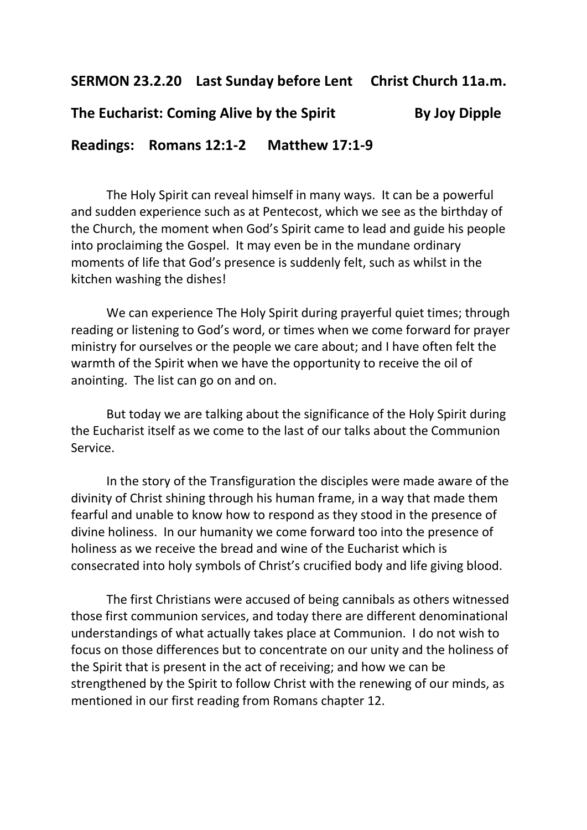**SERMON 23.2.20 Last Sunday before Lent Christ Church 11a.m.**

## **The Eucharist: Coming Alive by the Spirit By Joy Dipple**

**Readings: Romans 12:1-2 Matthew 17:1-9**

The Holy Spirit can reveal himself in many ways. It can be a powerful and sudden experience such as at Pentecost, which we see as the birthday of the Church, the moment when God's Spirit came to lead and guide his people into proclaiming the Gospel. It may even be in the mundane ordinary moments of life that God's presence is suddenly felt, such as whilst in the kitchen washing the dishes!

We can experience The Holy Spirit during prayerful quiet times; through reading or listening to God's word, or times when we come forward for prayer ministry for ourselves or the people we care about; and I have often felt the warmth of the Spirit when we have the opportunity to receive the oil of anointing. The list can go on and on.

But today we are talking about the significance of the Holy Spirit during the Eucharist itself as we come to the last of our talks about the Communion Service.

In the story of the Transfiguration the disciples were made aware of the divinity of Christ shining through his human frame, in a way that made them fearful and unable to know how to respond as they stood in the presence of divine holiness. In our humanity we come forward too into the presence of holiness as we receive the bread and wine of the Eucharist which is consecrated into holy symbols of Christ's crucified body and life giving blood.

The first Christians were accused of being cannibals as others witnessed those first communion services, and today there are different denominational understandings of what actually takes place at Communion. I do not wish to focus on those differences but to concentrate on our unity and the holiness of the Spirit that is present in the act of receiving; and how we can be strengthened by the Spirit to follow Christ with the renewing of our minds, as mentioned in our first reading from Romans chapter 12.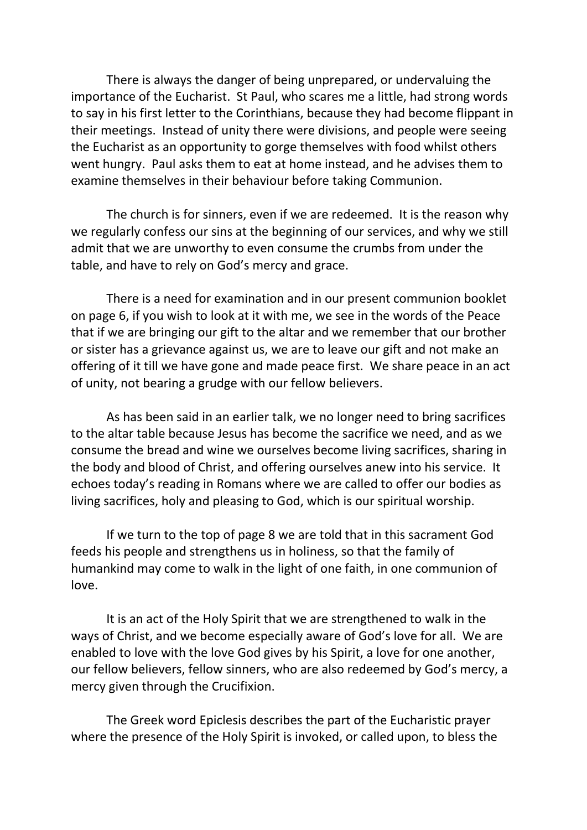There is always the danger of being unprepared, or undervaluing the importance of the Eucharist. St Paul, who scares me a little, had strong words to say in his first letter to the Corinthians, because they had become flippant in their meetings. Instead of unity there were divisions, and people were seeing the Eucharist as an opportunity to gorge themselves with food whilst others went hungry. Paul asks them to eat at home instead, and he advises them to examine themselves in their behaviour before taking Communion.

The church is for sinners, even if we are redeemed. It is the reason why we regularly confess our sins at the beginning of our services, and why we still admit that we are unworthy to even consume the crumbs from under the table, and have to rely on God's mercy and grace.

There is a need for examination and in our present communion booklet on page 6, if you wish to look at it with me, we see in the words of the Peace that if we are bringing our gift to the altar and we remember that our brother or sister has a grievance against us, we are to leave our gift and not make an offering of it till we have gone and made peace first. We share peace in an act of unity, not bearing a grudge with our fellow believers.

As has been said in an earlier talk, we no longer need to bring sacrifices to the altar table because Jesus has become the sacrifice we need, and as we consume the bread and wine we ourselves become living sacrifices, sharing in the body and blood of Christ, and offering ourselves anew into his service. It echoes today's reading in Romans where we are called to offer our bodies as living sacrifices, holy and pleasing to God, which is our spiritual worship.

If we turn to the top of page 8 we are told that in this sacrament God feeds his people and strengthens us in holiness, so that the family of humankind may come to walk in the light of one faith, in one communion of love.

It is an act of the Holy Spirit that we are strengthened to walk in the ways of Christ, and we become especially aware of God's love for all. We are enabled to love with the love God gives by his Spirit, a love for one another, our fellow believers, fellow sinners, who are also redeemed by God's mercy, a mercy given through the Crucifixion.

The Greek word Epiclesis describes the part of the Eucharistic prayer where the presence of the Holy Spirit is invoked, or called upon, to bless the